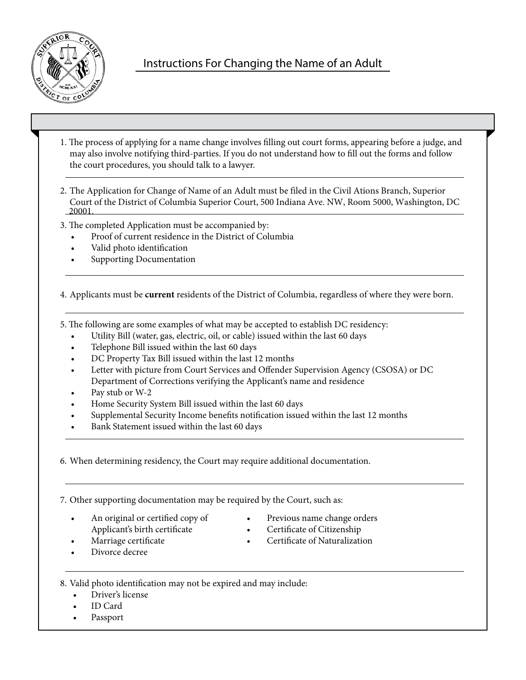

# Instructions For Changing the Name of an Adult

- 1. The process of applying for a name change involves filling out court forms, appearing before a judge, and may also involve notifying third-parties. If you do not understand how to fill out the forms and follow the court procedures, you should talk to a lawyer.
- 2. The Application for Change of Name of an Adult must be filed in the Civil Ations Branch, Superior Court of the District of Columbia Superior Court, 500 Indiana Ave. NW, Room 5000, Washington, DC 20001.
- 3. The completed Application must be accompanied by:
	- Proof of current residence in the District of Columbia
	- Valid photo identification
	- Supporting Documentation

4. Applicants must be **current** residents of the District of Columbia, regardless of where they were born.

5. The following are some examples of what may be accepted to establish DC residency:

- Utility Bill (water, gas, electric, oil, or cable) issued within the last 60 days
- Telephone Bill issued within the last 60 days
- DC Property Tax Bill issued within the last 12 months
- Letter with picture from Court Services and Offender Supervision Agency (CSOSA) or DC Department of Corrections verifying the Applicant's name and residence
- Pay stub or W-2
- Home Security System Bill issued within the last 60 days
- Supplemental Security Income benefits notification issued within the last 12 months
- Bank Statement issued within the last 60 days

6. When determining residency, the Court may require additional documentation.

7. Other supporting documentation may be required by the Court, such as:

- An original or certified copy of Applicant's birth certificate
- Marriage certificate
- Previous name change orders • Certificate of Citizenship
	- Certificate of Naturalization

Divorce decree

8. Valid photo identification may not be expired and may include:

- Driver's license
- ID Card
- **Passport**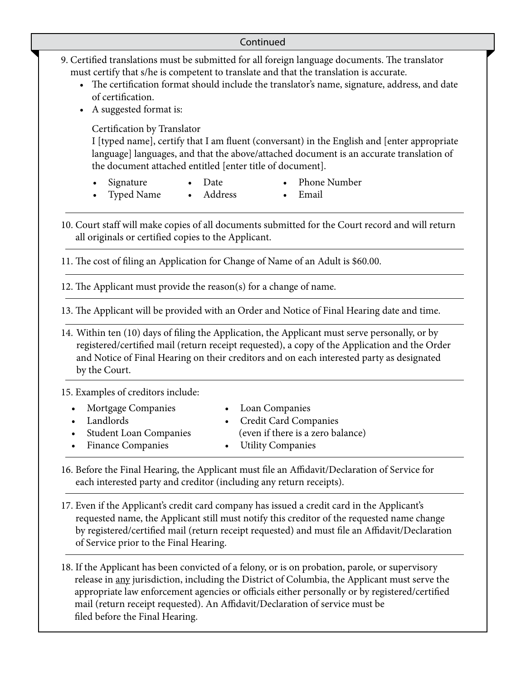## Continued

- 9. Certified translations must be submitted for all foreign language documents. The translator must certify that s/he is competent to translate and that the translation is accurate.
	- The certification format should include the translator's name, signature, address, and date of certification.
	- A suggested format is:

Certification by Translator

I [typed name], certify that I am fluent (conversant) in the English and [enter appropriate language] languages, and that the above/attached document is an accurate translation of the document attached entitled [enter title of document].

**Signature** 

• Phone Number

• Email

• Typed Name • Address

• Date

10. Court staff will make copies of all documents submitted for the Court record and will return all originals or certified copies to the Applicant.

11. The cost of filing an Application for Change of Name of an Adult is \$60.00.

12. The Applicant must provide the reason(s) for a change of name.

13. The Applicant will be provided with an Order and Notice of Final Hearing date and time.

14. Within ten (10) days of filing the Application, the Applicant must serve personally, or by registered/certified mail (return receipt requested), a copy of the Application and the Order and Notice of Final Hearing on their creditors and on each interested party as designated by the Court.

15. Examples of creditors include:

| • Mortgage Companies     | • Loan Companies                  |
|--------------------------|-----------------------------------|
| • Landlords              | • Credit Card Companies           |
| • Student Loan Companies | (even if there is a zero balance) |
| • Finance Companies      | • Utility Companies               |
|                          |                                   |

16. Before the Final Hearing, the Applicant must file an Affidavit/Declaration of Service for each interested party and creditor (including any return receipts).

17. Even if the Applicant's credit card company has issued a credit card in the Applicant's requested name, the Applicant still must notify this creditor of the requested name change by registered/certified mail (return receipt requested) and must file an Affidavit/Declaration of Service prior to the Final Hearing.

18. If the Applicant has been convicted of a felony, or is on probation, parole, or supervisory release in any jurisdiction, including the District of Columbia, the Applicant must serve the appropriate law enforcement agencies or officials either personally or by registered/certified mail (return receipt requested). An Affidavit/Declaration of service must be filed before the Final Hearing.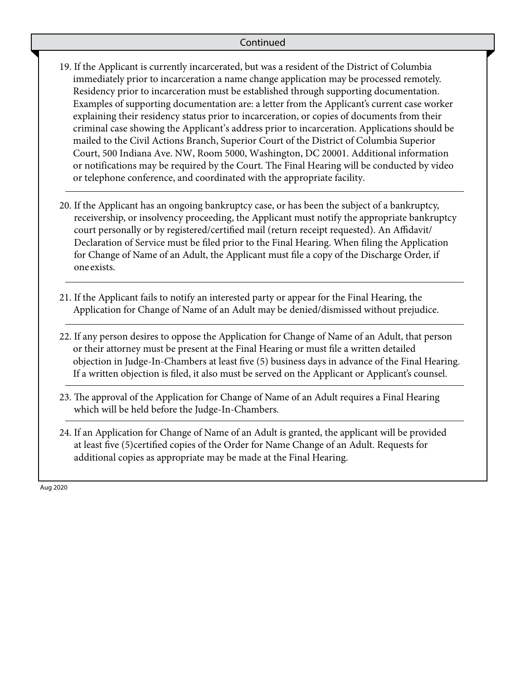## Continued

- 19. If the Applicant is currently incarcerated, but was a resident of the District of Columbia immediately prior to incarceration a name change application may be processed remotely. Residency prior to incarceration must be established through supporting documentation. Examples of supporting documentation are: a letter from the Applicant's current case worker explaining their residency status prior to incarceration, or copies of documents from their criminal case showing the Applicant's address prior to incarceration. Applications should be mailed to the Civil Actions Branch, Superior Court of the District of Columbia Superior Court, 500 Indiana Ave. NW, Room 5000, Washington, DC 20001. Additional information or notifications may be required by the Court. The Final Hearing will be conducted by video or telephone conference, and coordinated with the appropriate facility.
- 20. If the Applicant has an ongoing bankruptcy case, or has been the subject of a bankruptcy, receivership, or insolvency proceeding, the Applicant must notify the appropriate bankruptcy court personally or by registered/certified mail (return receipt requested). An Affidavit/ Declaration of Service must be filed prior to the Final Hearing. When filing the Application for Change of Name of an Adult, the Applicant must file a copy of the Discharge Order, if one exists.
- 21. If the Applicant fails to notify an interested party or appear for the Final Hearing, the Application for Change of Name of an Adult may be denied/dismissed without prejudice.
- 22. If any person desires to oppose the Application for Change of Name of an Adult, that person or their attorney must be present at the Final Hearing or must file a written detailed objection in Judge-In-Chambers at least five (5) business days in advance of the Final Hearing. If a written objection is filed, it also must be served on the Applicant or Applicant's counsel.
- 23. The approval of the Application for Change of Name of an Adult requires a Final Hearing which will be held before the Judge-In-Chambers.
- 24. If an Application for Change of Name of an Adult is granted, the applicant will be provided at least five (5)certified copies of the Order for Name Change of an Adult. Requests for additional copies as appropriate may be made at the Final Hearing.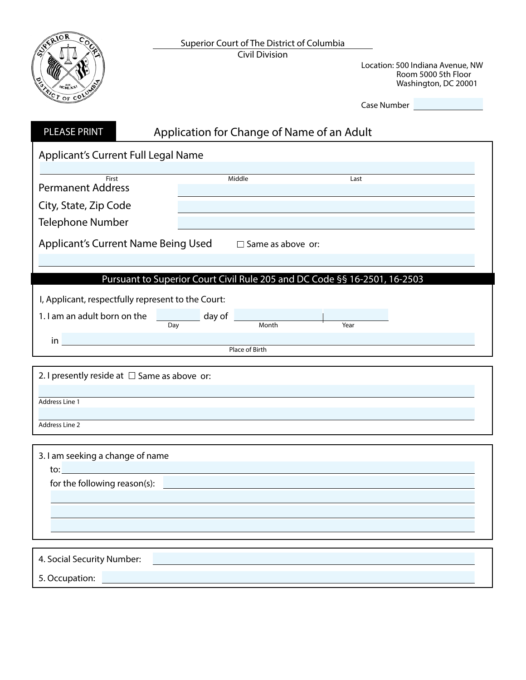

Location: 500 Indiana Avenue, NW Room 5000 5th Floor Washington, DC 20001

| <b>PLEASE PRINT</b>                                                                                                                                                                                                                                            |        | Application for Change of Name of an Adult                                |      |  |
|----------------------------------------------------------------------------------------------------------------------------------------------------------------------------------------------------------------------------------------------------------------|--------|---------------------------------------------------------------------------|------|--|
| Applicant's Current Full Legal Name                                                                                                                                                                                                                            |        |                                                                           |      |  |
|                                                                                                                                                                                                                                                                |        | Middle                                                                    |      |  |
| First<br><b>Permanent Address</b>                                                                                                                                                                                                                              |        |                                                                           | Last |  |
| City, State, Zip Code                                                                                                                                                                                                                                          |        |                                                                           |      |  |
| <b>Telephone Number</b>                                                                                                                                                                                                                                        |        |                                                                           |      |  |
| <b>Applicant's Current Name Being Used</b>                                                                                                                                                                                                                     |        | $\Box$ Same as above or:                                                  |      |  |
|                                                                                                                                                                                                                                                                |        |                                                                           |      |  |
|                                                                                                                                                                                                                                                                |        | Pursuant to Superior Court Civil Rule 205 and DC Code §§ 16-2501, 16-2503 |      |  |
| I, Applicant, respectfully represent to the Court:                                                                                                                                                                                                             |        |                                                                           |      |  |
| 1. I am an adult born on the                                                                                                                                                                                                                                   | day of | $\frac{1}{1}$ Month                                                       | Year |  |
| $\mathsf{in}$                                                                                                                                                                                                                                                  | Day    |                                                                           |      |  |
|                                                                                                                                                                                                                                                                |        | <b>Place of Birth</b>                                                     |      |  |
| 2. I presently reside at $\Box$ Same as above or:<br>Address Line 1<br>Address Line 2                                                                                                                                                                          |        |                                                                           |      |  |
| 3. I am seeking a change of name                                                                                                                                                                                                                               |        |                                                                           |      |  |
| to: which is a series of the series of the series of the series of the series of the series of the series of the series of the series of the series of the series of the series of the series of the series of the series of t<br>for the following reason(s): |        |                                                                           |      |  |
|                                                                                                                                                                                                                                                                |        |                                                                           |      |  |
|                                                                                                                                                                                                                                                                |        |                                                                           |      |  |
|                                                                                                                                                                                                                                                                |        |                                                                           |      |  |
| 4. Social Security Number:                                                                                                                                                                                                                                     |        |                                                                           |      |  |
| 5. Occupation:                                                                                                                                                                                                                                                 |        |                                                                           |      |  |
|                                                                                                                                                                                                                                                                |        |                                                                           |      |  |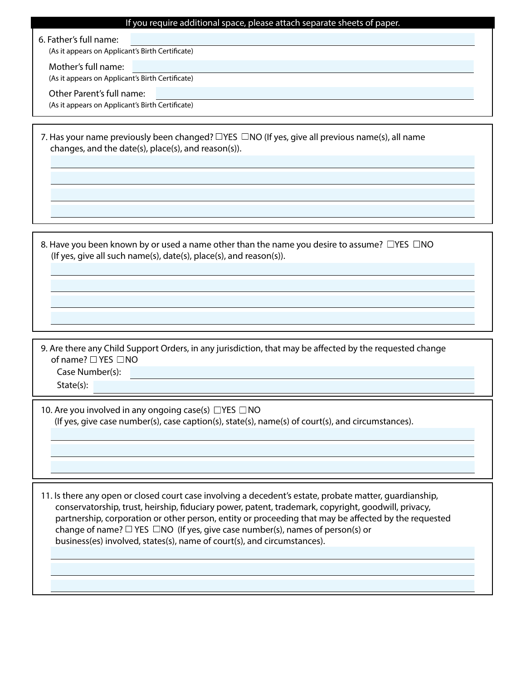#### If you require additional space, please attach separate sheets of paper.

6. Father's full name:

(As it appears on Applicant's Birth Certificate)

Mother's full name:

(As it appears on Applicant's Birth Certificate)

Other Parent's full name:

(As it appears on Applicant's Birth Certificate)

7. Has your name previously been changed?  $\Box$  YES  $\Box$  NO (If yes, give all previous name(s), all name changes, and the date(s), place(s), and reason(s)).

8. Have you been known by or used a name other than the name you desire to assume?  $\Box$ YES  $\Box$ NO (If yes, give all such name(s), date(s), place(s), and reason(s)).

9. Are there any Child Support Orders, in any jurisdiction, that may be affected by the requested change of name?  $\Box$  YES  $\Box$  NO Case Number(s):

State(s):

10. Are you involved in any ongoing case(s)  $\Box$  YES  $\Box$  NO (If yes, give case number(s), case caption(s), state(s), name(s) of court(s), and circumstances).

11. Is there any open or closed court case involving a decedent's estate, probate matter, guardianship, conservatorship, trust, heirship, fiduciary power, patent, trademark, copyright, goodwill, privacy, partnership, corporation or other person, entity or proceeding that may be affected by the requested change of name?  $\Box$  YES  $\Box$ NO (If yes, give case number(s), names of person(s) or business(es) involved, states(s), name of court(s), and circumstances).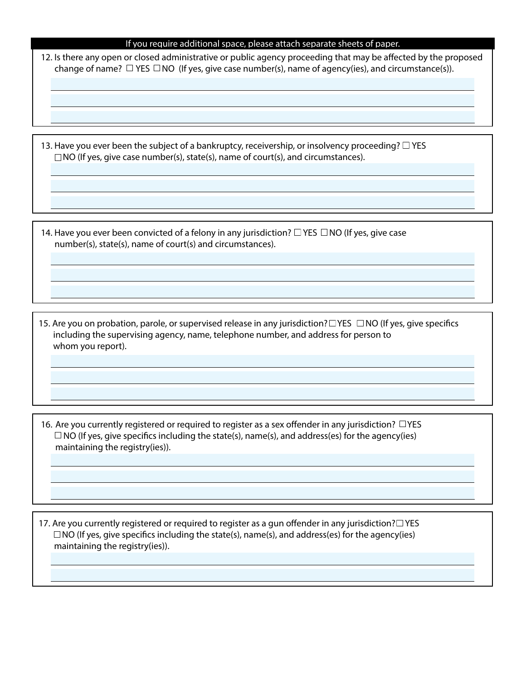#### If you require additional space, please attach separate sheets of paper.

12. Is there any open or closed administrative or public agency proceeding that may be affected by the proposed change of name?  $\Box$  YES  $\Box$  NO (If yes, give case number(s), name of agency(ies), and circumstance(s)).

13. Have you ever been the subject of a bankruptcy, receivership, or insolvency proceeding?  $\Box$  YES  $\square$ NO (If yes, give case number(s), state(s), name of court(s), and circumstances).

14. Have you ever been convicted of a felony in any jurisdiction?  $\Box$  YES  $\Box$  NO (If yes, give case number(s), state(s), name of court(s) and circumstances).

15. Are you on probation, parole, or supervised release in any jurisdiction?  $\Box$  YES  $\Box$  NO (If yes, give specifics including the supervising agency, name, telephone number, and address for person to whom you report).

16. Are you currently registered or required to register as a sex offender in any jurisdiction?  $\Box$  YES  $\Box$  NO (If yes, give specifics including the state(s), name(s), and address(es) for the agency(ies) maintaining the registry(ies)).

17. Are you currently registered or required to register as a gun offender in any jurisdiction? $\Box$  YES  $\square$ NO (If yes, give specifics including the state(s), name(s), and address(es) for the agency(ies) maintaining the registry(ies)).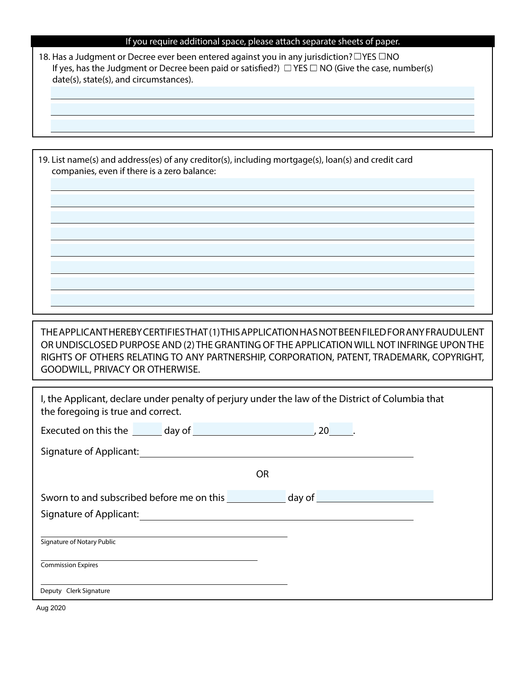| If you require additional space, please attach separate sheets of paper. |  |  |
|--------------------------------------------------------------------------|--|--|
|                                                                          |  |  |
|                                                                          |  |  |
|                                                                          |  |  |

18. Has a Judgment or Decree ever been entered against you in any jurisdiction?  $\Box$  YES  $\Box$  NO If yes, has the Judgment or Decree been paid or satisfied?)  $\Box$  YES  $\Box$  NO (Give the case, number(s) date(s), state(s), and circumstances).

19. List name(s) and address(es) of any creditor(s), including mortgage(s), loan(s) and credit card companies, even if there is a zero balance:

THE APPLICANT HEREBY CERTIFIES THAT (1) THIS APPLICATION HAS NOT BEEN FILED FOR ANY FRAUDULENT OR UNDISCLOSED PURPOSE AND (2) THE GRANTING OF THE APPLICATION WILL NOT INFRINGE UPON THE RIGHTS OF OTHERS RELATING TO ANY PARTNERSHIP, CORPORATION, PATENT, TRADEMARK, COPYRIGHT, GOODWILL, PRIVACY OR OTHERWISE.

| I, the Applicant, declare under penalty of perjury under the law of the District of Columbia that<br>the foregoing is true and correct.                                                                                        |  |  |  |  |  |
|--------------------------------------------------------------------------------------------------------------------------------------------------------------------------------------------------------------------------------|--|--|--|--|--|
| Executed on this the day of the control of the control of the control of the control of the control of the control of the control of the control of the control of the control of the control of the control of the control of |  |  |  |  |  |
| Signature of Applicant: New York State of Applicant State of Applicant State of Applicant State of Applicant State of Applicant State of Applicant State of Applicant State of Applicant State of Applicant State of Applicant |  |  |  |  |  |
| 0R                                                                                                                                                                                                                             |  |  |  |  |  |
| Sworn to and subscribed before me on this day of day of                                                                                                                                                                        |  |  |  |  |  |
|                                                                                                                                                                                                                                |  |  |  |  |  |
| Signature of Notary Public                                                                                                                                                                                                     |  |  |  |  |  |
| <b>Commission Expires</b>                                                                                                                                                                                                      |  |  |  |  |  |
| Deputy Clerk Signature                                                                                                                                                                                                         |  |  |  |  |  |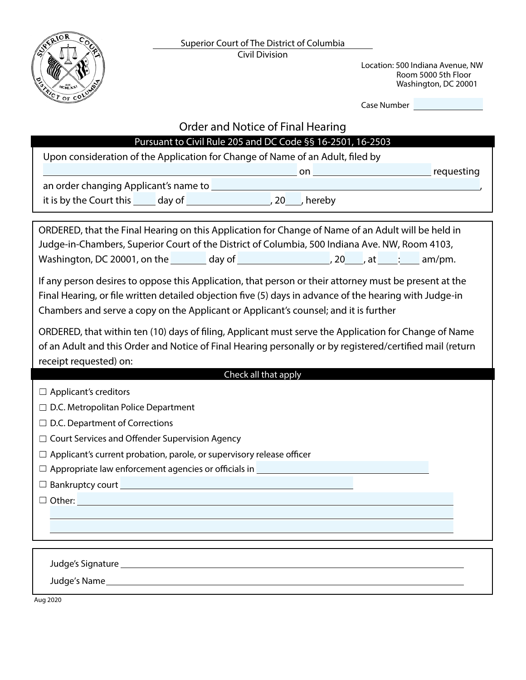

Location: 500 Indiana Avenue, NW Room 5000 5th Floor Washington, DC 20001

Case Number

| Order and Notice of Final Hearing |
|-----------------------------------|
|-----------------------------------|

# Pursuant to Civil Rule 205 and DC Code §§ 16-2501, 16-2503

Upon consideration of the Application for Change of Name of an Adult, filed by on **contract the contract of the contract of the contract of the contract of the contract of the contract of the contract of the contract of the contract of the contract of the contract of the contract of the contract of t** 

an order changing Applicant's name to

it is by the Court this \_\_\_\_\_ day of \_\_\_\_\_\_\_\_\_\_\_\_\_\_\_\_\_\_\_\_\_\_\_, 20\_\_\_\_, hereby

ORDERED, that the Final Hearing on this Application for Change of Name of an Adult will be held in Judge-in-Chambers, Superior Court of the District of Columbia, 500 Indiana Ave. NW, Room 4103, Washington, DC 20001, on the day of  $\frac{1}{20}$ , 20 , at  $\frac{1}{20}$  am/pm.

If any person desires to oppose this Application, that person or their attorney must be present at the Final Hearing, or file written detailed objection five (5) days in advance of the hearing with Judge-in Chambers and serve a copy on the Applicant or Applicant's counsel; and it is further

ORDERED, that within ten (10) days of filing, Applicant must serve the Application for Change of Name of an Adult and this Order and Notice of Final Hearing personally or by registered/certified mail (return receipt requested) on:

# Check all that apply

 $\Box$  Applicant's creditors

 $\square$  D.C. Metropolitan Police Department

 $\Box$  D.C. Department of Corrections

 $\Box$  Court Services and Offender Supervision Agency

 $\Box$  Applicant's current probation, parole, or supervisory release officer

 $\square$  Appropriate law enforcement agencies or officials in

 $\square$  Bankruptcy court

 $\square$  Other:  $\square$ 

Judge's Signature

Judge's Name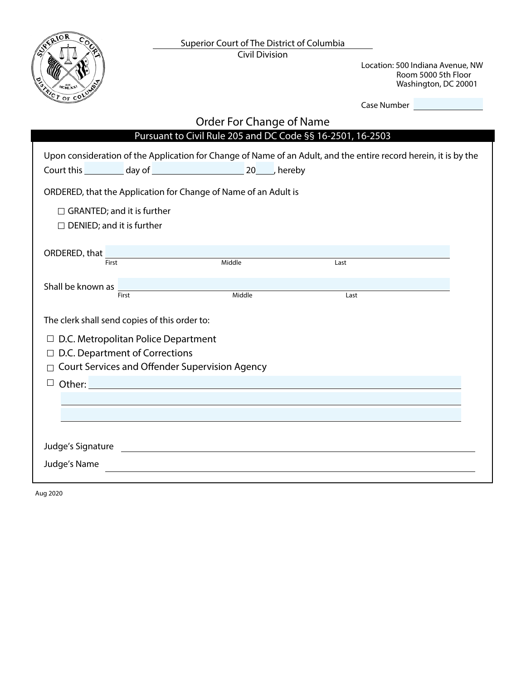

Location: 500 Indiana Avenue, NW Room 5000 5th Floor Washington, DC 20001

| Case Number |  |
|-------------|--|
|-------------|--|

# Upon consideration of the Application for Change of Name of an Adult, and the entire record herein, it is by the Court this day of 20 , hereby Order For Change of Name Pursuant to Civil Rule 205 and DC Code §§ 16-2501, 16-2503 Judge's Signature Judge's Name ORDERED, that the Application for Change of Name of an Adult is  $\Box$  D.C. Metropolitan Police Department The clerk shall send copies of this order to: Shall be known as ORDERED, that  $\frac{1}{\text{First}}$  $\square$  DENIED; and it is further  $\Box$  GRANTED; and it is further  $\Box$  D.C. Department of Corrections First Last First **Example 2018** Class Middle **Contract Class Class Class Class Class Class Class Class Class Class Class Class Class Class Class Class Class Class Class Class Class Class Class Class Class Class Class Class Class Clas**  $\Box$  Court Services and Offender Supervision Agency  $\Box$  Other:  $\Box$  Other: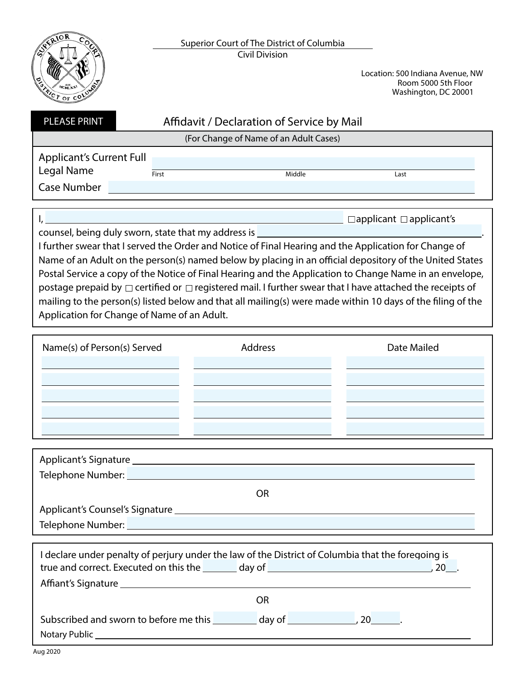

Location: 500 Indiana Avenue, NW Room 5000 5th Floor Washington, DC 20001

| <b>PLEASE PRINT</b>                                                 | Affidavit / Declaration of Service by Mail |        |      |
|---------------------------------------------------------------------|--------------------------------------------|--------|------|
|                                                                     | (For Change of Name of an Adult Cases)     |        |      |
| <b>Applicant's Current Full</b><br>Legal Name<br><b>Case Number</b> | First                                      | Middle | Last |
|                                                                     |                                            |        |      |

I, Applicant applicant's continuous contract applicant applicant's

counsel, being duly sworn, state that my address is  $\overline{\phantom{a}}$ 

I further swear that I served the Order and Notice of Final Hearing and the Application for Change of Name of an Adult on the person(s) named below by placing in an official depository of the United States Postal Service a copy of the Notice of Final Hearing and the Application to Change Name in an envelope, postage prepaid by  $\Box$  certified or  $\Box$  registered mail. I further swear that I have attached the receipts of mailing to the person(s) listed below and that all mailing(s) were made within 10 days of the filing of the Application for Change of Name of an Adult.

| Name(s) of Person(s) Served | Address | Date Mailed |
|-----------------------------|---------|-------------|
|                             |         |             |
|                             |         |             |
|                             |         |             |
|                             |         |             |

| Telephone Number: Name of Telephone Number: |    |  |
|---------------------------------------------|----|--|
|                                             | OR |  |
|                                             |    |  |
| Telephone Number: Vermann Marian            |    |  |

| I declare under penalty of perjury under the law of the District of Columbia that the foregoing is                                                                                                                             |           |
|--------------------------------------------------------------------------------------------------------------------------------------------------------------------------------------------------------------------------------|-----------|
| true and correct. Executed on this the day of day of discussed and correct. Executed on this the                                                                                                                               | <b>20</b> |
|                                                                                                                                                                                                                                |           |
| OR                                                                                                                                                                                                                             |           |
| Subscribed and sworn to before me this day of the case of the control of the control of the control of the control of the control of the control of the control of the control of the control of the control of the control of |           |
| Notary Public_                                                                                                                                                                                                                 |           |